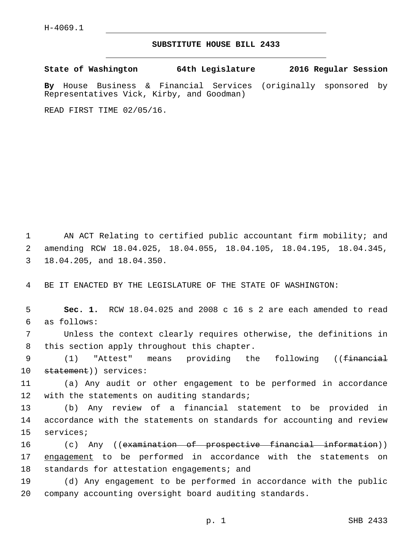## **SUBSTITUTE HOUSE BILL 2433**

**State of Washington 64th Legislature 2016 Regular Session**

**By** House Business & Financial Services (originally sponsored by Representatives Vick, Kirby, and Goodman)

READ FIRST TIME 02/05/16.

1 AN ACT Relating to certified public accountant firm mobility; and 2 amending RCW 18.04.025, 18.04.055, 18.04.105, 18.04.195, 18.04.345, 3 18.04.205, and 18.04.350.

4 BE IT ENACTED BY THE LEGISLATURE OF THE STATE OF WASHINGTON:

5 **Sec. 1.** RCW 18.04.025 and 2008 c 16 s 2 are each amended to read as follows:6

7 Unless the context clearly requires otherwise, the definitions in 8 this section apply throughout this chapter.

9 (1) "Attest" means providing the following ((<del>financial</del> 10 statement)) services:

11 (a) Any audit or other engagement to be performed in accordance 12 with the statements on auditing standards;

13 (b) Any review of a financial statement to be provided in 14 accordance with the statements on standards for accounting and review 15 services;

16 (c) Any ((examination of prospective financial information)) 17 engagement to be performed in accordance with the statements on 18 standards for attestation engagements; and

19 (d) Any engagement to be performed in accordance with the public 20 company accounting oversight board auditing standards.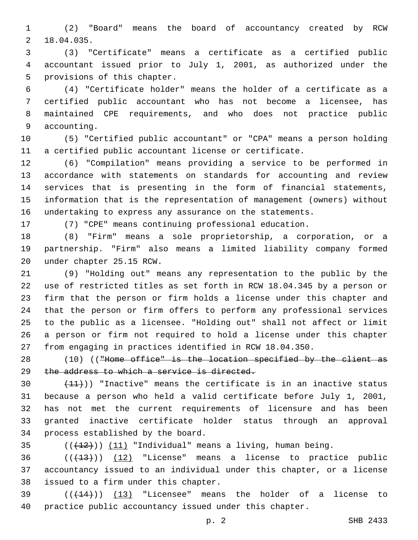(2) "Board" means the board of accountancy created by RCW 18.04.035.2

 (3) "Certificate" means a certificate as a certified public accountant issued prior to July 1, 2001, as authorized under the 5 provisions of this chapter.

 (4) "Certificate holder" means the holder of a certificate as a certified public accountant who has not become a licensee, has maintained CPE requirements, and who does not practice public 9 accounting.

 (5) "Certified public accountant" or "CPA" means a person holding a certified public accountant license or certificate.

 (6) "Compilation" means providing a service to be performed in accordance with statements on standards for accounting and review services that is presenting in the form of financial statements, information that is the representation of management (owners) without undertaking to express any assurance on the statements.

(7) "CPE" means continuing professional education.

 (8) "Firm" means a sole proprietorship, a corporation, or a partnership. "Firm" also means a limited liability company formed 20 under chapter 25.15 RCW.

 (9) "Holding out" means any representation to the public by the use of restricted titles as set forth in RCW 18.04.345 by a person or firm that the person or firm holds a license under this chapter and that the person or firm offers to perform any professional services to the public as a licensee. "Holding out" shall not affect or limit a person or firm not required to hold a license under this chapter from engaging in practices identified in RCW 18.04.350.

28 (10) (("Home office" is the location specified by the client as 29 the address to which a service is directed.

 $(11)$ ) "Inactive" means the certificate is in an inactive status because a person who held a valid certificate before July 1, 2001, has not met the current requirements of licensure and has been granted inactive certificate holder status through an approval 34 process established by the board.

35  $((+12))$   $(11)$  "Individual" means a living, human being.

  $((+13))$   $(12)$  "License" means a license to practice public accountancy issued to an individual under this chapter, or a license 38 issued to a firm under this chapter.

 $(39$  ( $(444)$ )) (13) "Licensee" means the holder of a license to practice public accountancy issued under this chapter.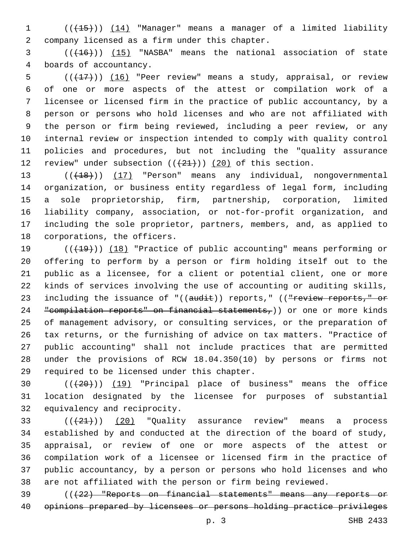(((15))) (14) "Manager" means a manager of a limited liability company licensed as a firm under this chapter.2

3 (( $(16)$ )) (15) "NASBA" means the national association of state 4 boards of accountancy.

 $((+17))$   $(16)$  "Peer review" means a study, appraisal, or review of one or more aspects of the attest or compilation work of a licensee or licensed firm in the practice of public accountancy, by a person or persons who hold licenses and who are not affiliated with the person or firm being reviewed, including a peer review, or any internal review or inspection intended to comply with quality control policies and procedures, but not including the "quality assurance 12 review" under subsection  $((+21+))$   $(20)$  of this section.

13 (( $(18)$ )) (17) "Person" means any individual, nongovernmental organization, or business entity regardless of legal form, including a sole proprietorship, firm, partnership, corporation, limited liability company, association, or not-for-profit organization, and including the sole proprietor, partners, members, and, as applied to 18 corporations, the officers.

19 (( $(19)$ ) (18) "Practice of public accounting" means performing or offering to perform by a person or firm holding itself out to the public as a licensee, for a client or potential client, one or more kinds of services involving the use of accounting or auditing skills, 23 including the issuance of "((audit)) reports," ((<del>"review reports," or</del> 24 "compilation reports" on financial statements,)) or one or more kinds of management advisory, or consulting services, or the preparation of tax returns, or the furnishing of advice on tax matters. "Practice of public accounting" shall not include practices that are permitted under the provisions of RCW 18.04.350(10) by persons or firms not 29 required to be licensed under this chapter.

 (((20))) (19) "Principal place of business" means the office location designated by the licensee for purposes of substantial 32 equivalency and reciprocity.

 $(1+21)$   $(20)$  "Quality assurance review" means a process established by and conducted at the direction of the board of study, appraisal, or review of one or more aspects of the attest or compilation work of a licensee or licensed firm in the practice of public accountancy, by a person or persons who hold licenses and who are not affiliated with the person or firm being reviewed.

 (((22) "Reports on financial statements" means any reports or opinions prepared by licensees or persons holding practice privileges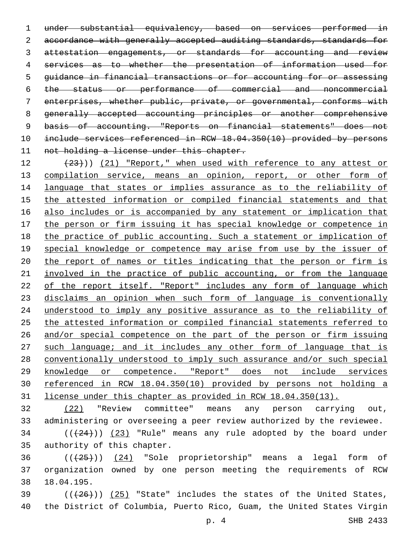under substantial equivalency, based on services performed in 2 accordance with generally accepted auditing standards, standards for 3 attestation engagements, or standards for accounting and review services as to whether the presentation of information used for guidance in financial transactions or for accounting for or assessing the status or performance of commercial and noncommercial enterprises, whether public, private, or governmental, conforms with generally accepted accounting principles or another comprehensive 9 basis of accounting. "Reports on financial statements" does not include services referenced in RCW 18.04.350(10) provided by persons 11 not holding a license under this chapter.

12 (23))) (21) "Report," when used with reference to any attest or 13 compilation service, means an opinion, report, or other form of language that states or implies assurance as to the reliability of the attested information or compiled financial statements and that also includes or is accompanied by any statement or implication that the person or firm issuing it has special knowledge or competence in the practice of public accounting. Such a statement or implication of 19 special knowledge or competence may arise from use by the issuer of the report of names or titles indicating that the person or firm is involved in the practice of public accounting, or from the language 22 of the report itself. "Report" includes any form of language which disclaims an opinion when such form of language is conventionally understood to imply any positive assurance as to the reliability of the attested information or compiled financial statements referred to and/or special competence on the part of the person or firm issuing 27 such language; and it includes any other form of language that is conventionally understood to imply such assurance and/or such special knowledge or competence. "Report" does not include services referenced in RCW 18.04.350(10) provided by persons not holding a license under this chapter as provided in RCW 18.04.350(13).

 (22) "Review committee" means any person carrying out, administering or overseeing a peer review authorized by the reviewee.

 ( $(\frac{24}{12})$ )  $(23)$  "Rule" means any rule adopted by the board under 35 authority of this chapter.

  $((+25))$   $(24)$  "Sole proprietorship" means a legal form of organization owned by one person meeting the requirements of RCW 18.04.195.38

 ( $(\overline{+26})$ )  $(25)$  "State" includes the states of the United States, the District of Columbia, Puerto Rico, Guam, the United States Virgin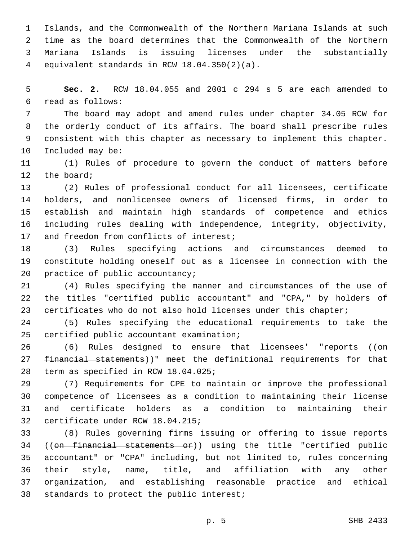Islands, and the Commonwealth of the Northern Mariana Islands at such time as the board determines that the Commonwealth of the Northern Mariana Islands is issuing licenses under the substantially equivalent standards in RCW 18.04.350(2)(a).4

 **Sec. 2.** RCW 18.04.055 and 2001 c 294 s 5 are each amended to read as follows:6

 The board may adopt and amend rules under chapter 34.05 RCW for the orderly conduct of its affairs. The board shall prescribe rules consistent with this chapter as necessary to implement this chapter. 10 Included may be:

 (1) Rules of procedure to govern the conduct of matters before 12 the board;

 (2) Rules of professional conduct for all licensees, certificate holders, and nonlicensee owners of licensed firms, in order to establish and maintain high standards of competence and ethics including rules dealing with independence, integrity, objectivity, 17 and freedom from conflicts of interest;

 (3) Rules specifying actions and circumstances deemed to constitute holding oneself out as a licensee in connection with the 20 practice of public accountancy;

 (4) Rules specifying the manner and circumstances of the use of the titles "certified public accountant" and "CPA," by holders of certificates who do not also hold licenses under this chapter;

 (5) Rules specifying the educational requirements to take the 25 certified public accountant examination;

26 (6) Rules designed to ensure that licensees' "reports (( $\Theta$ <del>n</del> 27 financial statements))" meet the definitional requirements for that 28 term as specified in RCW 18.04.025;

 (7) Requirements for CPE to maintain or improve the professional competence of licensees as a condition to maintaining their license and certificate holders as a condition to maintaining their 32 certificate under RCW 18.04.215;

 (8) Rules governing firms issuing or offering to issue reports ((on financial statements or)) using the title "certified public accountant" or "CPA" including, but not limited to, rules concerning their style, name, title, and affiliation with any other organization, and establishing reasonable practice and ethical 38 standards to protect the public interest;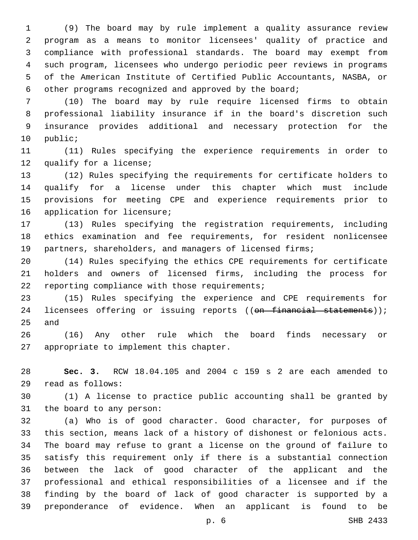(9) The board may by rule implement a quality assurance review program as a means to monitor licensees' quality of practice and compliance with professional standards. The board may exempt from such program, licensees who undergo periodic peer reviews in programs of the American Institute of Certified Public Accountants, NASBA, or other programs recognized and approved by the board;

 (10) The board may by rule require licensed firms to obtain professional liability insurance if in the board's discretion such insurance provides additional and necessary protection for the 10 public;

 (11) Rules specifying the experience requirements in order to 12 qualify for a license;

 (12) Rules specifying the requirements for certificate holders to qualify for a license under this chapter which must include provisions for meeting CPE and experience requirements prior to 16 application for licensure;

 (13) Rules specifying the registration requirements, including ethics examination and fee requirements, for resident nonlicensee partners, shareholders, and managers of licensed firms;

 (14) Rules specifying the ethics CPE requirements for certificate holders and owners of licensed firms, including the process for 22 reporting compliance with those requirements;

 (15) Rules specifying the experience and CPE requirements for 24 licensees offering or issuing reports ((on financial statements)); and

 (16) Any other rule which the board finds necessary or 27 appropriate to implement this chapter.

 **Sec. 3.** RCW 18.04.105 and 2004 c 159 s 2 are each amended to read as follows:29

 (1) A license to practice public accounting shall be granted by 31 the board to any person:

 (a) Who is of good character. Good character, for purposes of this section, means lack of a history of dishonest or felonious acts. The board may refuse to grant a license on the ground of failure to satisfy this requirement only if there is a substantial connection between the lack of good character of the applicant and the professional and ethical responsibilities of a licensee and if the finding by the board of lack of good character is supported by a preponderance of evidence. When an applicant is found to be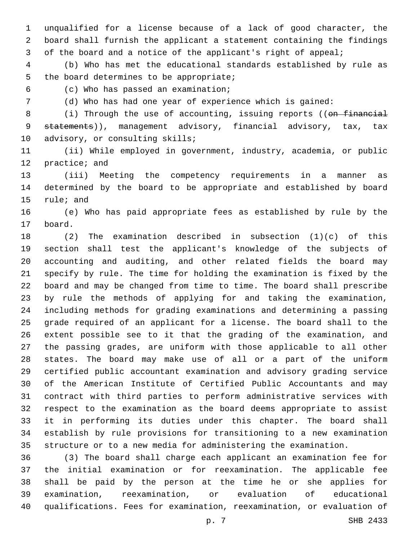unqualified for a license because of a lack of good character, the board shall furnish the applicant a statement containing the findings of the board and a notice of the applicant's right of appeal;

 (b) Who has met the educational standards established by rule as 5 the board determines to be appropriate;

(c) Who has passed an examination;6

(d) Who has had one year of experience which is gained:

8 (i) Through the use of accounting, issuing reports ((on financial 9 statements)), management advisory, financial advisory, tax, tax 10 advisory, or consulting skills;

 (ii) While employed in government, industry, academia, or public 12 practice; and

 (iii) Meeting the competency requirements in a manner as determined by the board to be appropriate and established by board 15 rule; and

 (e) Who has paid appropriate fees as established by rule by the 17 board.

 (2) The examination described in subsection (1)(c) of this section shall test the applicant's knowledge of the subjects of accounting and auditing, and other related fields the board may specify by rule. The time for holding the examination is fixed by the board and may be changed from time to time. The board shall prescribe by rule the methods of applying for and taking the examination, including methods for grading examinations and determining a passing grade required of an applicant for a license. The board shall to the extent possible see to it that the grading of the examination, and the passing grades, are uniform with those applicable to all other states. The board may make use of all or a part of the uniform certified public accountant examination and advisory grading service of the American Institute of Certified Public Accountants and may contract with third parties to perform administrative services with respect to the examination as the board deems appropriate to assist it in performing its duties under this chapter. The board shall establish by rule provisions for transitioning to a new examination structure or to a new media for administering the examination.

 (3) The board shall charge each applicant an examination fee for the initial examination or for reexamination. The applicable fee shall be paid by the person at the time he or she applies for examination, reexamination, or evaluation of educational qualifications. Fees for examination, reexamination, or evaluation of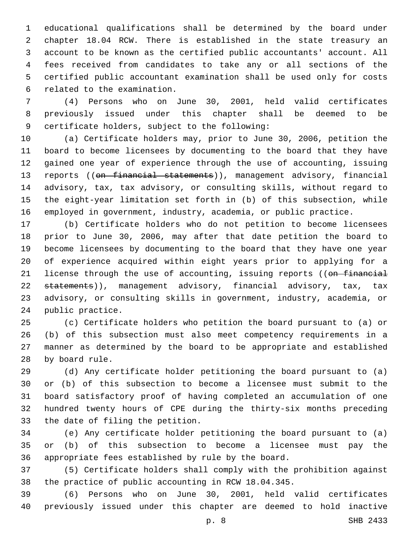educational qualifications shall be determined by the board under chapter 18.04 RCW. There is established in the state treasury an account to be known as the certified public accountants' account. All fees received from candidates to take any or all sections of the certified public accountant examination shall be used only for costs 6 related to the examination.

 (4) Persons who on June 30, 2001, held valid certificates previously issued under this chapter shall be deemed to be 9 certificate holders, subject to the following:

 (a) Certificate holders may, prior to June 30, 2006, petition the board to become licensees by documenting to the board that they have gained one year of experience through the use of accounting, issuing 13 reports ((on financial statements)), management advisory, financial advisory, tax, tax advisory, or consulting skills, without regard to the eight-year limitation set forth in (b) of this subsection, while employed in government, industry, academia, or public practice.

 (b) Certificate holders who do not petition to become licensees prior to June 30, 2006, may after that date petition the board to become licensees by documenting to the board that they have one year of experience acquired within eight years prior to applying for a 21 license through the use of accounting, issuing reports ((on financial 22 statements)), management advisory, financial advisory, tax, tax advisory, or consulting skills in government, industry, academia, or 24 public practice.

 (c) Certificate holders who petition the board pursuant to (a) or (b) of this subsection must also meet competency requirements in a manner as determined by the board to be appropriate and established 28 by board rule.

 (d) Any certificate holder petitioning the board pursuant to (a) or (b) of this subsection to become a licensee must submit to the board satisfactory proof of having completed an accumulation of one hundred twenty hours of CPE during the thirty-six months preceding 33 the date of filing the petition.

 (e) Any certificate holder petitioning the board pursuant to (a) or (b) of this subsection to become a licensee must pay the appropriate fees established by rule by the board.

 (5) Certificate holders shall comply with the prohibition against the practice of public accounting in RCW 18.04.345.

 (6) Persons who on June 30, 2001, held valid certificates previously issued under this chapter are deemed to hold inactive

p. 8 SHB 2433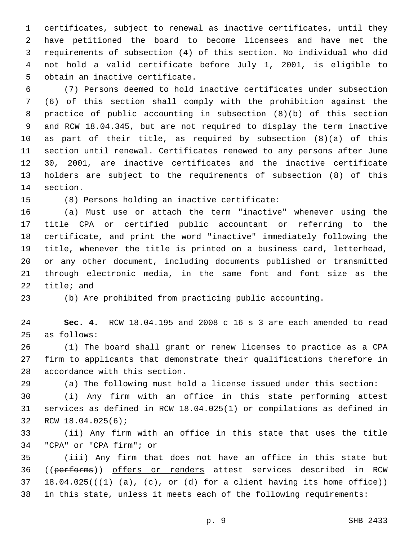certificates, subject to renewal as inactive certificates, until they have petitioned the board to become licensees and have met the requirements of subsection (4) of this section. No individual who did not hold a valid certificate before July 1, 2001, is eligible to 5 obtain an inactive certificate.

 (7) Persons deemed to hold inactive certificates under subsection (6) of this section shall comply with the prohibition against the practice of public accounting in subsection (8)(b) of this section and RCW 18.04.345, but are not required to display the term inactive as part of their title, as required by subsection (8)(a) of this section until renewal. Certificates renewed to any persons after June 30, 2001, are inactive certificates and the inactive certificate holders are subject to the requirements of subsection (8) of this 14 section.

(8) Persons holding an inactive certificate:15

 (a) Must use or attach the term "inactive" whenever using the title CPA or certified public accountant or referring to the certificate, and print the word "inactive" immediately following the title, whenever the title is printed on a business card, letterhead, or any other document, including documents published or transmitted through electronic media, in the same font and font size as the title; and

(b) Are prohibited from practicing public accounting.

 **Sec. 4.** RCW 18.04.195 and 2008 c 16 s 3 are each amended to read 25 as follows:

 (1) The board shall grant or renew licenses to practice as a CPA firm to applicants that demonstrate their qualifications therefore in 28 accordance with this section.

(a) The following must hold a license issued under this section:

 (i) Any firm with an office in this state performing attest services as defined in RCW 18.04.025(1) or compilations as defined in 32 RCW 18.04.025(6);

 (ii) Any firm with an office in this state that uses the title 34 "CPA" or "CPA firm"; or

 (iii) Any firm that does not have an office in this state but 36 ((performs)) offers or renders attest services described in RCW 37 18.04.025( $(\frac{1}{1} \cdot (a), \frac{c}{b})$  or  $(d)$  for a client having its home office)) in this state, unless it meets each of the following requirements: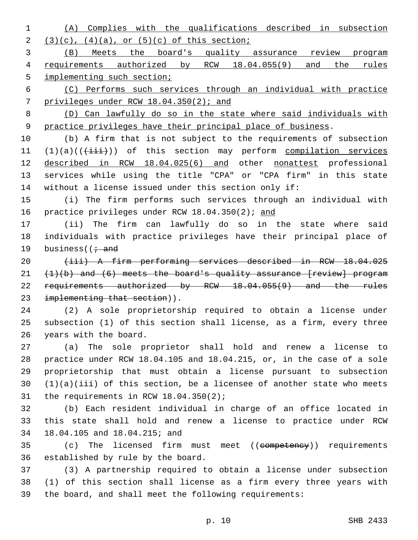(A) Complies with the qualifications described in subsection 2  $(3)(c)$ ,  $(4)(a)$ , or  $(5)(c)$  of this section;

 (B) Meets the board's quality assurance review program requirements authorized by RCW 18.04.055(9) and the rules 5 implementing such section;

 (C) Performs such services through an individual with practice privileges under RCW 18.04.350(2); and

 (D) Can lawfully do so in the state where said individuals with practice privileges have their principal place of business.

 (b) A firm that is not subject to the requirements of subsection 11 (1)(a)(( $\overleftrightarrow{+i\overrightarrow{i}}$ )) of this section may perform compilation services described in RCW 18.04.025(6) and other nonattest professional services while using the title "CPA" or "CPA firm" in this state without a license issued under this section only if:

 (i) The firm performs such services through an individual with 16 practice privileges under RCW 18.04.350(2); and

 (ii) The firm can lawfully do so in the state where said individuals with practice privileges have their principal place of 19 business( $\overline{1}$  and

 (iii) A firm performing services described in RCW 18.04.025  $(1)(b)$  and  $(6)$  meets the board's quality assurance [review] program 22 requirements authorized by RCW 18.04.055(9) and the rules 23 implementing that section)).

 (2) A sole proprietorship required to obtain a license under subsection (1) of this section shall license, as a firm, every three 26 years with the board.

 (a) The sole proprietor shall hold and renew a license to practice under RCW 18.04.105 and 18.04.215, or, in the case of a sole proprietorship that must obtain a license pursuant to subsection (1)(a)(iii) of this section, be a licensee of another state who meets 31 the requirements in RCW  $18.04.350(2)$ ;

 (b) Each resident individual in charge of an office located in this state shall hold and renew a license to practice under RCW 18.04.105 and 18.04.215; and34

35 (c) The licensed firm must meet ((competency)) requirements 36 established by rule by the board.

 (3) A partnership required to obtain a license under subsection (1) of this section shall license as a firm every three years with the board, and shall meet the following requirements: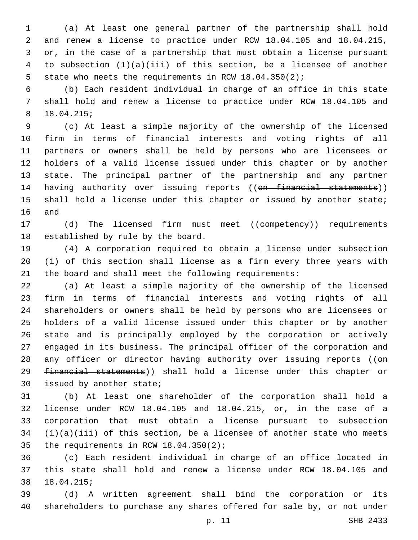(a) At least one general partner of the partnership shall hold and renew a license to practice under RCW 18.04.105 and 18.04.215, or, in the case of a partnership that must obtain a license pursuant to subsection (1)(a)(iii) of this section, be a licensee of another state who meets the requirements in RCW 18.04.350(2);

 (b) Each resident individual in charge of an office in this state shall hold and renew a license to practice under RCW 18.04.105 and 18.04.215;8

 (c) At least a simple majority of the ownership of the licensed firm in terms of financial interests and voting rights of all partners or owners shall be held by persons who are licensees or holders of a valid license issued under this chapter or by another state. The principal partner of the partnership and any partner 14 having authority over issuing reports ((on financial statements)) 15 shall hold a license under this chapter or issued by another state; 16 and

17 (d) The licensed firm must meet ((competency)) requirements 18 established by rule by the board.

 (4) A corporation required to obtain a license under subsection (1) of this section shall license as a firm every three years with the board and shall meet the following requirements:

 (a) At least a simple majority of the ownership of the licensed firm in terms of financial interests and voting rights of all shareholders or owners shall be held by persons who are licensees or holders of a valid license issued under this chapter or by another state and is principally employed by the corporation or actively engaged in its business. The principal officer of the corporation and 28 any officer or director having authority over issuing reports ((on financial statements)) shall hold a license under this chapter or 30 issued by another state;

 (b) At least one shareholder of the corporation shall hold a license under RCW 18.04.105 and 18.04.215, or, in the case of a corporation that must obtain a license pursuant to subsection (1)(a)(iii) of this section, be a licensee of another state who meets 35 the requirements in RCW  $18.04.350(2)$ ;

 (c) Each resident individual in charge of an office located in this state shall hold and renew a license under RCW 18.04.105 and 18.04.215;38

 (d) A written agreement shall bind the corporation or its shareholders to purchase any shares offered for sale by, or not under

p. 11 SHB 2433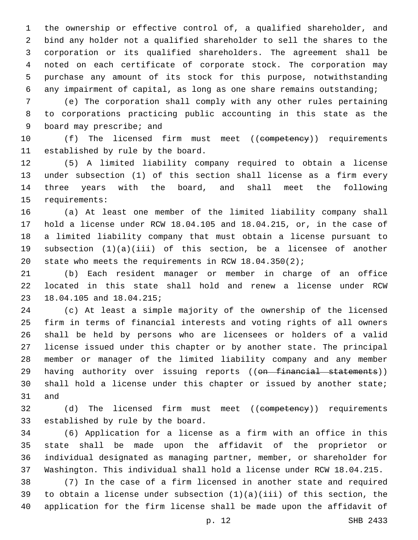the ownership or effective control of, a qualified shareholder, and bind any holder not a qualified shareholder to sell the shares to the corporation or its qualified shareholders. The agreement shall be noted on each certificate of corporate stock. The corporation may purchase any amount of its stock for this purpose, notwithstanding any impairment of capital, as long as one share remains outstanding;

 (e) The corporation shall comply with any other rules pertaining to corporations practicing public accounting in this state as the 9 board may prescribe; and

10 (f) The licensed firm must meet ((competency)) requirements 11 established by rule by the board.

 (5) A limited liability company required to obtain a license under subsection (1) of this section shall license as a firm every three years with the board, and shall meet the following 15 requirements:

 (a) At least one member of the limited liability company shall hold a license under RCW 18.04.105 and 18.04.215, or, in the case of a limited liability company that must obtain a license pursuant to subsection (1)(a)(iii) of this section, be a licensee of another state who meets the requirements in RCW 18.04.350(2);

 (b) Each resident manager or member in charge of an office located in this state shall hold and renew a license under RCW 23 18.04.105 and 18.04.215;

 (c) At least a simple majority of the ownership of the licensed firm in terms of financial interests and voting rights of all owners shall be held by persons who are licensees or holders of a valid license issued under this chapter or by another state. The principal member or manager of the limited liability company and any member 29 having authority over issuing reports ((on financial statements)) shall hold a license under this chapter or issued by another state; 31 and

32 (d) The licensed firm must meet ((competency)) requirements 33 established by rule by the board.

 (6) Application for a license as a firm with an office in this state shall be made upon the affidavit of the proprietor or individual designated as managing partner, member, or shareholder for Washington. This individual shall hold a license under RCW 18.04.215.

 (7) In the case of a firm licensed in another state and required 39 to obtain a license under subsection  $(1)(a)(iii)$  of this section, the application for the firm license shall be made upon the affidavit of

p. 12 SHB 2433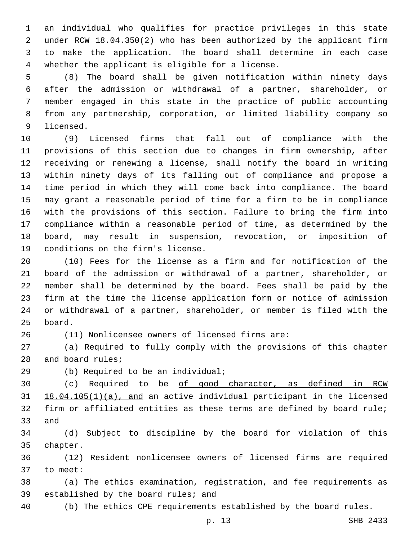an individual who qualifies for practice privileges in this state under RCW 18.04.350(2) who has been authorized by the applicant firm to make the application. The board shall determine in each case 4 whether the applicant is eligible for a license.

 (8) The board shall be given notification within ninety days after the admission or withdrawal of a partner, shareholder, or member engaged in this state in the practice of public accounting from any partnership, corporation, or limited liability company so 9 licensed.

 (9) Licensed firms that fall out of compliance with the provisions of this section due to changes in firm ownership, after receiving or renewing a license, shall notify the board in writing within ninety days of its falling out of compliance and propose a time period in which they will come back into compliance. The board may grant a reasonable period of time for a firm to be in compliance with the provisions of this section. Failure to bring the firm into compliance within a reasonable period of time, as determined by the board, may result in suspension, revocation, or imposition of 19 conditions on the firm's license.

 (10) Fees for the license as a firm and for notification of the board of the admission or withdrawal of a partner, shareholder, or member shall be determined by the board. Fees shall be paid by the firm at the time the license application form or notice of admission or withdrawal of a partner, shareholder, or member is filed with the 25 board.

(11) Nonlicensee owners of licensed firms are:

 (a) Required to fully comply with the provisions of this chapter 28 and board rules;

(b) Required to be an individual;29

 (c) Required to be of good character, as defined in RCW 18.04.105(1)(a), and an active individual participant in the licensed firm or affiliated entities as these terms are defined by board rule; 33 and

 (d) Subject to discipline by the board for violation of this 35 chapter.

 (12) Resident nonlicensee owners of licensed firms are required 37 to meet:

 (a) The ethics examination, registration, and fee requirements as 39 established by the board rules; and

(b) The ethics CPE requirements established by the board rules.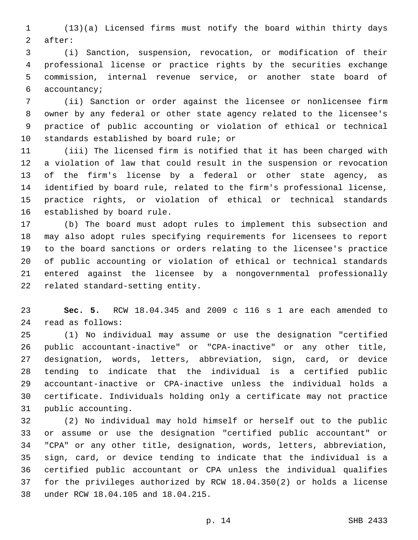(13)(a) Licensed firms must notify the board within thirty days 2 after:

 (i) Sanction, suspension, revocation, or modification of their professional license or practice rights by the securities exchange commission, internal revenue service, or another state board of 6 accountancy;

 (ii) Sanction or order against the licensee or nonlicensee firm owner by any federal or other state agency related to the licensee's practice of public accounting or violation of ethical or technical 10 standards established by board rule; or

 (iii) The licensed firm is notified that it has been charged with a violation of law that could result in the suspension or revocation of the firm's license by a federal or other state agency, as identified by board rule, related to the firm's professional license, practice rights, or violation of ethical or technical standards 16 established by board rule.

 (b) The board must adopt rules to implement this subsection and may also adopt rules specifying requirements for licensees to report to the board sanctions or orders relating to the licensee's practice of public accounting or violation of ethical or technical standards entered against the licensee by a nongovernmental professionally 22 related standard-setting entity.

 **Sec. 5.** RCW 18.04.345 and 2009 c 116 s 1 are each amended to read as follows:24

 (1) No individual may assume or use the designation "certified public accountant-inactive" or "CPA-inactive" or any other title, designation, words, letters, abbreviation, sign, card, or device tending to indicate that the individual is a certified public accountant-inactive or CPA-inactive unless the individual holds a certificate. Individuals holding only a certificate may not practice 31 public accounting.

 (2) No individual may hold himself or herself out to the public or assume or use the designation "certified public accountant" or "CPA" or any other title, designation, words, letters, abbreviation, sign, card, or device tending to indicate that the individual is a certified public accountant or CPA unless the individual qualifies for the privileges authorized by RCW 18.04.350(2) or holds a license 38 under RCW 18.04.105 and 18.04.215.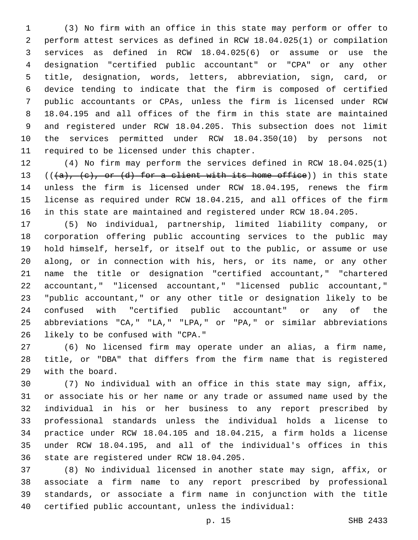(3) No firm with an office in this state may perform or offer to perform attest services as defined in RCW 18.04.025(1) or compilation services as defined in RCW 18.04.025(6) or assume or use the designation "certified public accountant" or "CPA" or any other title, designation, words, letters, abbreviation, sign, card, or device tending to indicate that the firm is composed of certified public accountants or CPAs, unless the firm is licensed under RCW 18.04.195 and all offices of the firm in this state are maintained and registered under RCW 18.04.205. This subsection does not limit the services permitted under RCW 18.04.350(10) by persons not 11 required to be licensed under this chapter.

 (4) No firm may perform the services defined in RCW 18.04.025(1) 13 (( $\{a\}$ ,  $\{e\}$ , or  $\{d\}$  for a client with its home office)) in this state unless the firm is licensed under RCW 18.04.195, renews the firm license as required under RCW 18.04.215, and all offices of the firm in this state are maintained and registered under RCW 18.04.205.

 (5) No individual, partnership, limited liability company, or corporation offering public accounting services to the public may hold himself, herself, or itself out to the public, or assume or use along, or in connection with his, hers, or its name, or any other name the title or designation "certified accountant," "chartered accountant," "licensed accountant," "licensed public accountant," "public accountant," or any other title or designation likely to be confused with "certified public accountant" or any of the abbreviations "CA," "LA," "LPA," or "PA," or similar abbreviations 26 likely to be confused with "CPA."

 (6) No licensed firm may operate under an alias, a firm name, title, or "DBA" that differs from the firm name that is registered 29 with the board.

 (7) No individual with an office in this state may sign, affix, or associate his or her name or any trade or assumed name used by the individual in his or her business to any report prescribed by professional standards unless the individual holds a license to practice under RCW 18.04.105 and 18.04.215, a firm holds a license under RCW 18.04.195, and all of the individual's offices in this 36 state are registered under RCW 18.04.205.

 (8) No individual licensed in another state may sign, affix, or associate a firm name to any report prescribed by professional standards, or associate a firm name in conjunction with the title certified public accountant, unless the individual: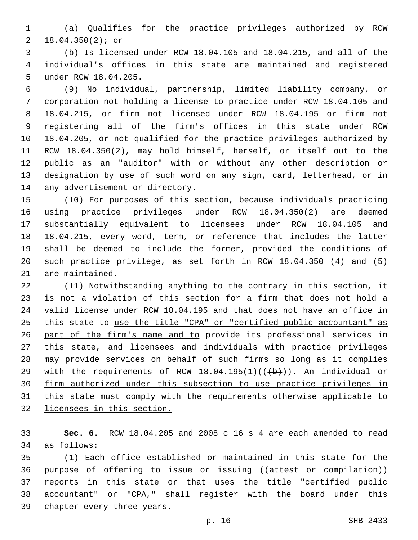(a) Qualifies for the practice privileges authorized by RCW 18.04.350(2); or2

 (b) Is licensed under RCW 18.04.105 and 18.04.215, and all of the individual's offices in this state are maintained and registered 5 under RCW 18.04.205.

 (9) No individual, partnership, limited liability company, or corporation not holding a license to practice under RCW 18.04.105 and 18.04.215, or firm not licensed under RCW 18.04.195 or firm not registering all of the firm's offices in this state under RCW 18.04.205, or not qualified for the practice privileges authorized by RCW 18.04.350(2), may hold himself, herself, or itself out to the public as an "auditor" with or without any other description or designation by use of such word on any sign, card, letterhead, or in 14 any advertisement or directory.

 (10) For purposes of this section, because individuals practicing using practice privileges under RCW 18.04.350(2) are deemed substantially equivalent to licensees under RCW 18.04.105 and 18.04.215, every word, term, or reference that includes the latter shall be deemed to include the former, provided the conditions of such practice privilege, as set forth in RCW 18.04.350 (4) and (5) 21 are maintained.

 (11) Notwithstanding anything to the contrary in this section, it is not a violation of this section for a firm that does not hold a valid license under RCW 18.04.195 and that does not have an office in this state to use the title "CPA" or "certified public accountant" as part of the firm's name and to provide its professional services in this state, and licensees and individuals with practice privileges may provide services on behalf of such firms so long as it complies 29 with the requirements of RCW  $18.04.195(1)((\theta)+))$ . An individual or firm authorized under this subsection to use practice privileges in this state must comply with the requirements otherwise applicable to licensees in this section.

 **Sec. 6.** RCW 18.04.205 and 2008 c 16 s 4 are each amended to read 34 as follows:

 (1) Each office established or maintained in this state for the 36 purpose of offering to issue or issuing ((attest or compilation)) reports in this state or that uses the title "certified public accountant" or "CPA," shall register with the board under this 39 chapter every three years.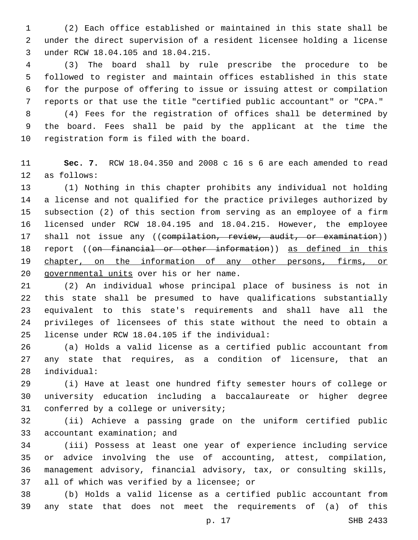(2) Each office established or maintained in this state shall be under the direct supervision of a resident licensee holding a license 3 under RCW 18.04.105 and 18.04.215.

 (3) The board shall by rule prescribe the procedure to be followed to register and maintain offices established in this state for the purpose of offering to issue or issuing attest or compilation reports or that use the title "certified public accountant" or "CPA."

 (4) Fees for the registration of offices shall be determined by the board. Fees shall be paid by the applicant at the time the 10 registration form is filed with the board.

 **Sec. 7.** RCW 18.04.350 and 2008 c 16 s 6 are each amended to read 12 as follows:

 (1) Nothing in this chapter prohibits any individual not holding a license and not qualified for the practice privileges authorized by subsection (2) of this section from serving as an employee of a firm licensed under RCW 18.04.195 and 18.04.215. However, the employee 17 shall not issue any ((compilation, review, audit, or examination)) report ((on financial or other information)) as defined in this 19 chapter, on the information of any other persons, firms, or 20 governmental units over his or her name.

 (2) An individual whose principal place of business is not in this state shall be presumed to have qualifications substantially equivalent to this state's requirements and shall have all the privileges of licensees of this state without the need to obtain a license under RCW 18.04.105 if the individual:25

 (a) Holds a valid license as a certified public accountant from any state that requires, as a condition of licensure, that an individual:28

 (i) Have at least one hundred fifty semester hours of college or university education including a baccalaureate or higher degree 31 conferred by a college or university;

 (ii) Achieve a passing grade on the uniform certified public 33 accountant examination; and

 (iii) Possess at least one year of experience including service or advice involving the use of accounting, attest, compilation, management advisory, financial advisory, tax, or consulting skills, 37 all of which was verified by a licensee; or

 (b) Holds a valid license as a certified public accountant from any state that does not meet the requirements of (a) of this

p. 17 SHB 2433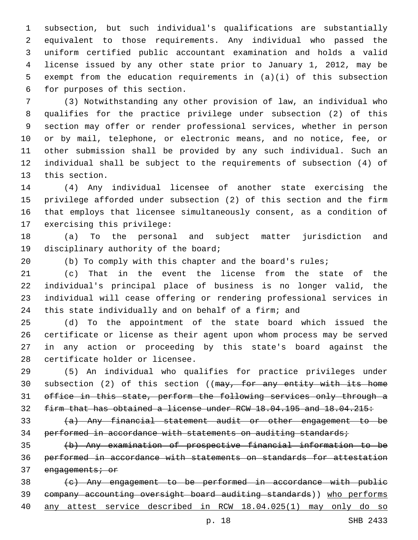subsection, but such individual's qualifications are substantially equivalent to those requirements. Any individual who passed the uniform certified public accountant examination and holds a valid license issued by any other state prior to January 1, 2012, may be exempt from the education requirements in (a)(i) of this subsection 6 for purposes of this section.

 (3) Notwithstanding any other provision of law, an individual who qualifies for the practice privilege under subsection (2) of this section may offer or render professional services, whether in person or by mail, telephone, or electronic means, and no notice, fee, or other submission shall be provided by any such individual. Such an individual shall be subject to the requirements of subsection (4) of 13 this section.

 (4) Any individual licensee of another state exercising the privilege afforded under subsection (2) of this section and the firm that employs that licensee simultaneously consent, as a condition of 17 exercising this privilege:

 (a) To the personal and subject matter jurisdiction and 19 disciplinary authority of the board;

(b) To comply with this chapter and the board's rules;

 (c) That in the event the license from the state of the individual's principal place of business is no longer valid, the individual will cease offering or rendering professional services in this state individually and on behalf of a firm; and

 (d) To the appointment of the state board which issued the certificate or license as their agent upon whom process may be served in any action or proceeding by this state's board against the 28 certificate holder or licensee.

 (5) An individual who qualifies for practice privileges under 30 subsection (2) of this section ((may, for any entity with its home office in this state, perform the following services only through a firm that has obtained a license under RCW 18.04.195 and 18.04.215:

 (a) Any financial statement audit or other engagement to be 34 performed in accordance with statements on auditing standards;

 (b) Any examination of prospective financial information to be performed in accordance with statements on standards for attestation 37 engagements; or

 (c) Any engagement to be performed in accordance with public company accounting oversight board auditing standards)) who performs any attest service described in RCW 18.04.025(1) may only do so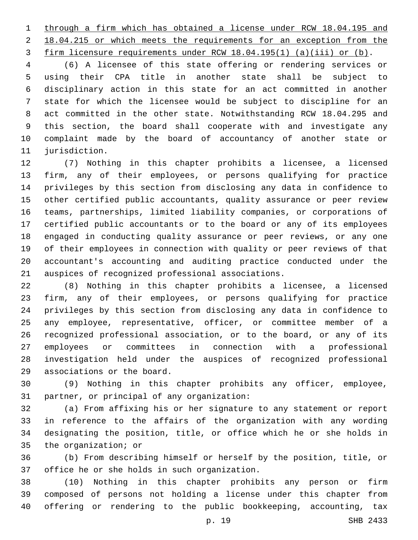through a firm which has obtained a license under RCW 18.04.195 and 2 18.04.215 or which meets the requirements for an exception from the firm licensure requirements under RCW 18.04.195(1) (a)(iii) or (b).

 (6) A licensee of this state offering or rendering services or using their CPA title in another state shall be subject to disciplinary action in this state for an act committed in another state for which the licensee would be subject to discipline for an act committed in the other state. Notwithstanding RCW 18.04.295 and this section, the board shall cooperate with and investigate any complaint made by the board of accountancy of another state or 11 jurisdiction.

 (7) Nothing in this chapter prohibits a licensee, a licensed firm, any of their employees, or persons qualifying for practice privileges by this section from disclosing any data in confidence to other certified public accountants, quality assurance or peer review teams, partnerships, limited liability companies, or corporations of certified public accountants or to the board or any of its employees engaged in conducting quality assurance or peer reviews, or any one of their employees in connection with quality or peer reviews of that accountant's accounting and auditing practice conducted under the 21 auspices of recognized professional associations.

 (8) Nothing in this chapter prohibits a licensee, a licensed firm, any of their employees, or persons qualifying for practice privileges by this section from disclosing any data in confidence to any employee, representative, officer, or committee member of a recognized professional association, or to the board, or any of its employees or committees in connection with a professional investigation held under the auspices of recognized professional 29 associations or the board.

 (9) Nothing in this chapter prohibits any officer, employee, 31 partner, or principal of any organization:

 (a) From affixing his or her signature to any statement or report in reference to the affairs of the organization with any wording designating the position, title, or office which he or she holds in 35 the organization; or

 (b) From describing himself or herself by the position, title, or 37 office he or she holds in such organization.

 (10) Nothing in this chapter prohibits any person or firm composed of persons not holding a license under this chapter from offering or rendering to the public bookkeeping, accounting, tax

p. 19 SHB 2433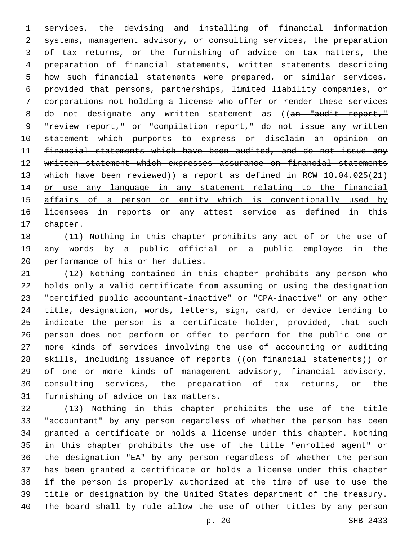services, the devising and installing of financial information systems, management advisory, or consulting services, the preparation of tax returns, or the furnishing of advice on tax matters, the preparation of financial statements, written statements describing how such financial statements were prepared, or similar services, provided that persons, partnerships, limited liability companies, or corporations not holding a license who offer or render these services 8 do not designate any written statement as ((an "audit report," "review report," or "compilation report," do not issue any written statement which purports to express or disclaim an opinion on financial statements which have been audited, and do not issue any written statement which expresses assurance on financial statements 13 which have been reviewed)) a report as defined in RCW 18.04.025(21) or use any language in any statement relating to the financial 15 affairs of a person or entity which is conventionally used by 16 licensees in reports or any attest service as defined in this 17 chapter.

 (11) Nothing in this chapter prohibits any act of or the use of any words by a public official or a public employee in the 20 performance of his or her duties.

 (12) Nothing contained in this chapter prohibits any person who holds only a valid certificate from assuming or using the designation "certified public accountant-inactive" or "CPA-inactive" or any other title, designation, words, letters, sign, card, or device tending to indicate the person is a certificate holder, provided, that such person does not perform or offer to perform for the public one or more kinds of services involving the use of accounting or auditing 28 skills, including issuance of reports ((on financial statements)) or of one or more kinds of management advisory, financial advisory, consulting services, the preparation of tax returns, or the 31 furnishing of advice on tax matters.

 (13) Nothing in this chapter prohibits the use of the title "accountant" by any person regardless of whether the person has been granted a certificate or holds a license under this chapter. Nothing in this chapter prohibits the use of the title "enrolled agent" or the designation "EA" by any person regardless of whether the person has been granted a certificate or holds a license under this chapter if the person is properly authorized at the time of use to use the title or designation by the United States department of the treasury. The board shall by rule allow the use of other titles by any person